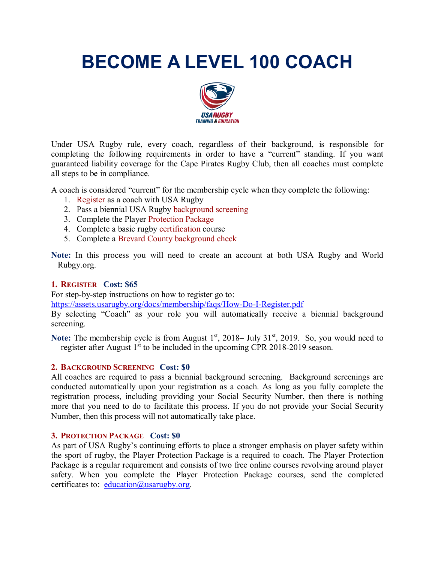# **BECOME A LEVEL 100 COACH**



Under USA Rugby rule, every coach, regardless of their background, is responsible for completing the following requirements in order to have a "current" standing. If you want guaranteed liability coverage for the Cape Pirates Rugby Club, then all coaches must complete all steps to be in compliance.

A coach is considered "current" for the membership cycle when they complete the following:

- 1. Register as a coach with USA Rugby
- 2. Pass a biennial USA Rugby background screening
- 3. Complete the Player Protection Package
- 4. Complete a basic rugby certification course
- 5. Complete a Brevard County background check

**Note:** In this process you will need to create an account at both USA Rugby and World Rubgy.org.

## **1. REGISTER Cost: \$65**

For step-by-step instructions on how to register go to:

https://assets.usarugby.org/docs/membership/faqs/How-Do-I-Register.pdf

By selecting "Coach" as your role you will automatically receive a biennial background screening.

**Note:** The membership cycle is from August 1<sup>st</sup>, 2018– July 31<sup>st</sup>, 2019. So, you would need to register after August  $1<sup>st</sup>$  to be included in the upcoming CPR 2018-2019 season.

#### **2. BACKGROUND SCREENING Cost: \$0**

All coaches are required to pass a biennial background screening. Background screenings are conducted automatically upon your registration as a coach. As long as you fully complete the registration process, including providing your Social Security Number, then there is nothing more that you need to do to facilitate this process. If you do not provide your Social Security Number, then this process will not automatically take place.

#### **3. PROTECTION PACKAGE Cost: \$0**

As part of USA Rugby's continuing efforts to place a stronger emphasis on player safety within the sport of rugby, the Player Protection Package is a required to coach. The Player Protection Package is a regular requirement and consists of two free online courses revolving around player safety. When you complete the Player Protection Package courses, send the completed certificates to: education@usarugby.org.